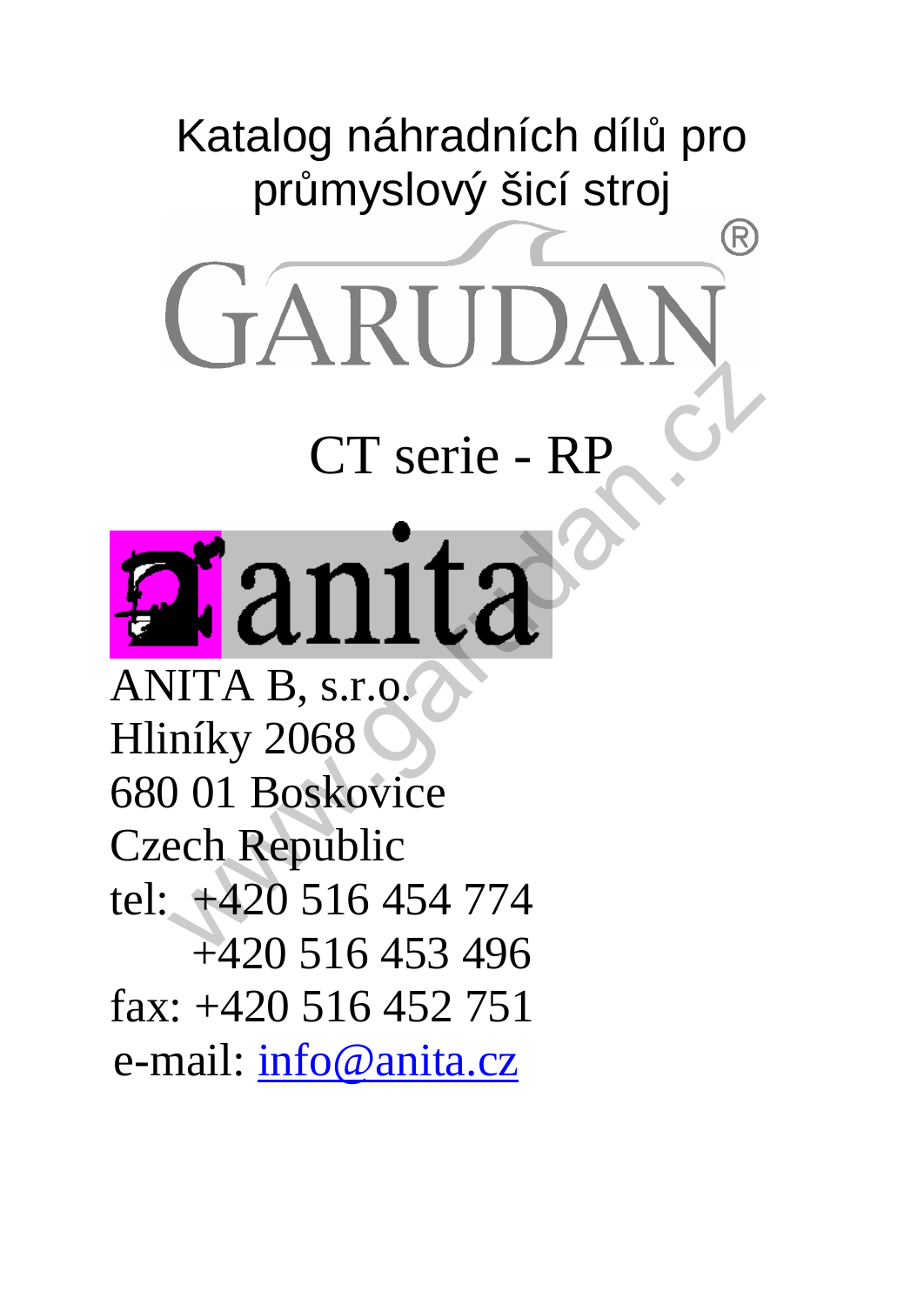## Katalog náhradních dílů pro průmyslový šicí stroj  $\mathsf R$

CT serie - RP



(TARUT

ANITA B, s.r.o. Hliníky 2068 680 01 Boskovice Czech Republic tel: +420 516 454 774 +420 516 453 496 fax: +420 516 452 751 e-mail: [info@anita.cz](mailto:info@anita.cz)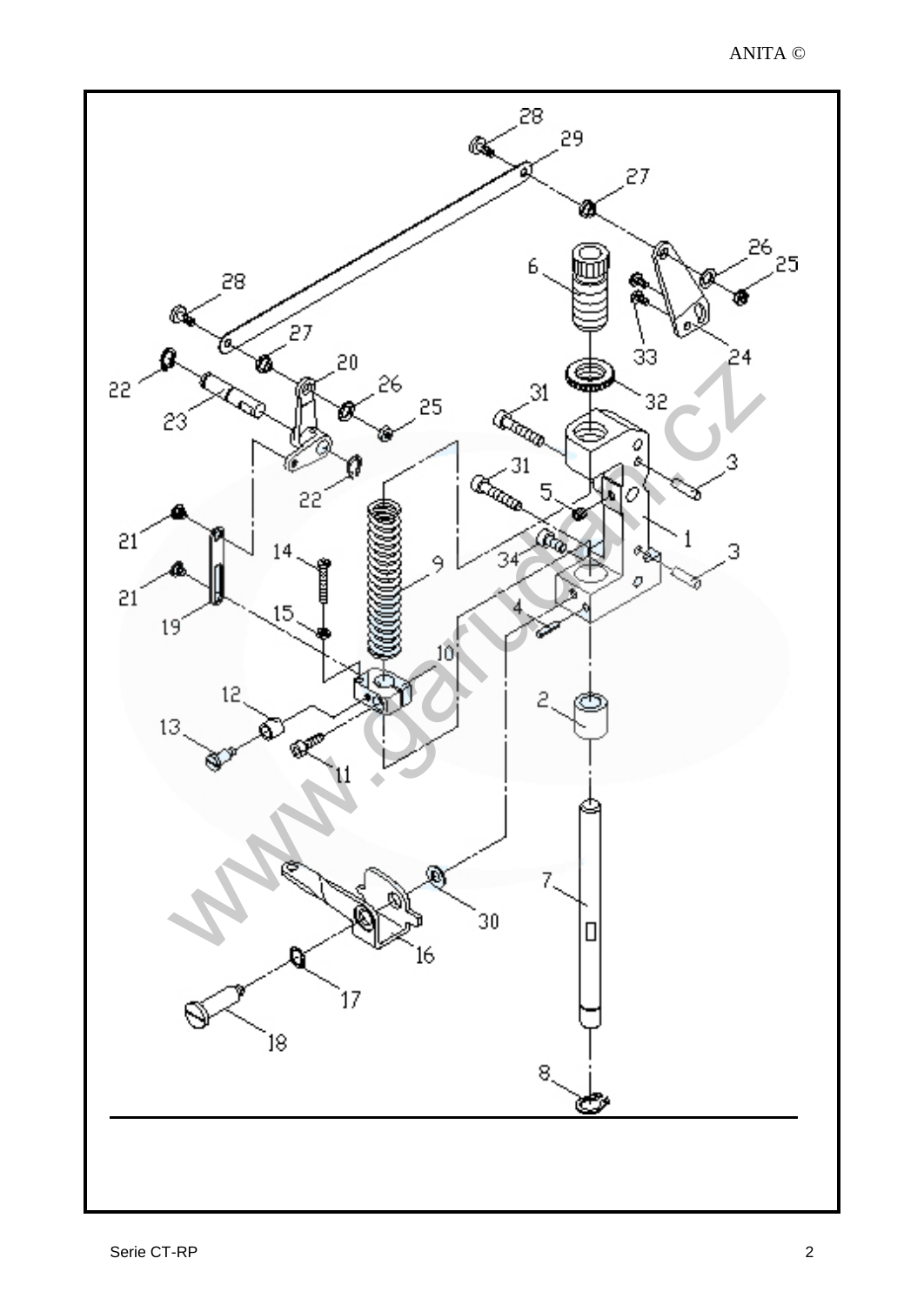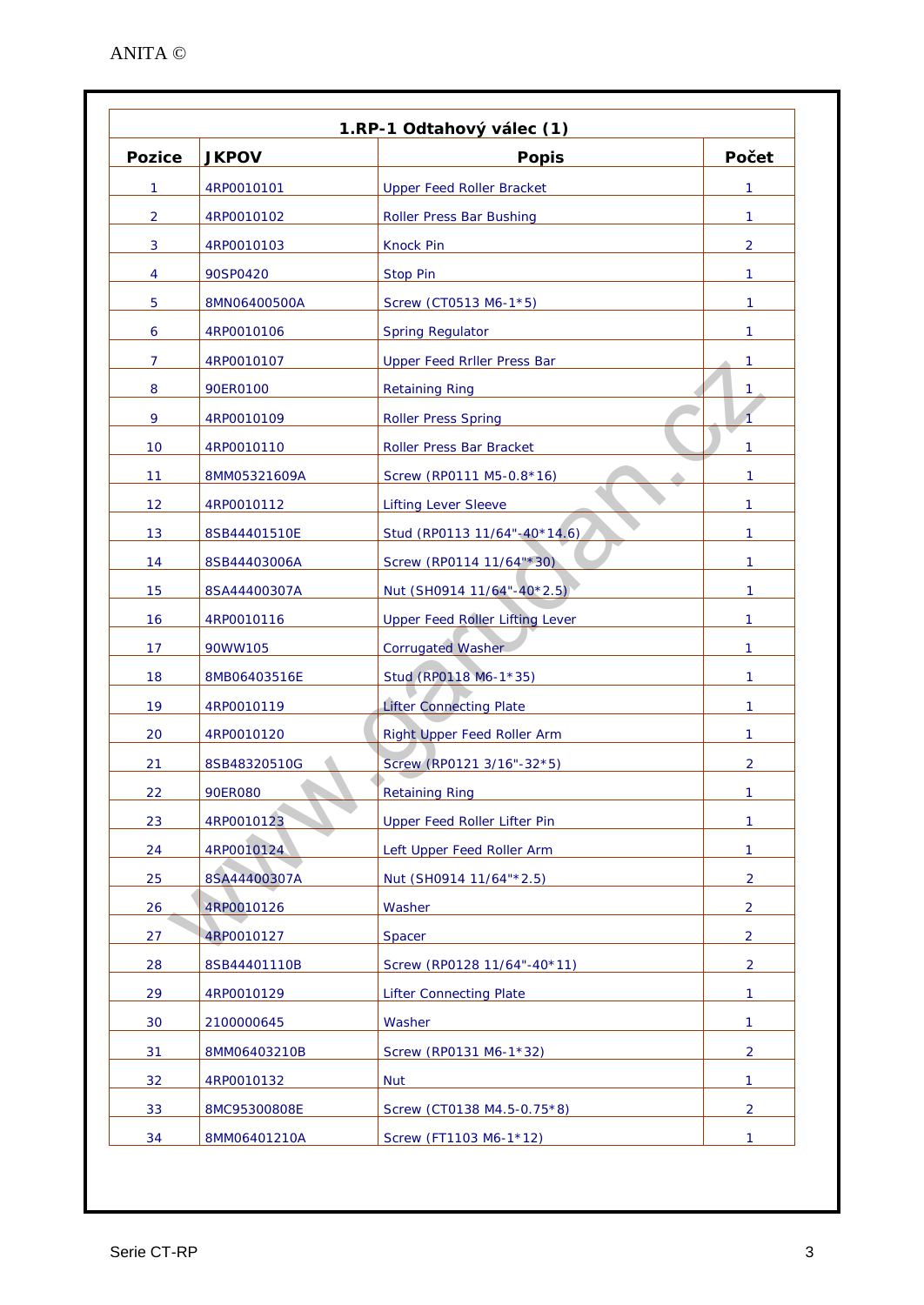| 1.RP-1 Odtahový válec (1) |                |                                        |                |  |  |  |
|---------------------------|----------------|----------------------------------------|----------------|--|--|--|
| <b>Pozice</b>             | <b>JKPOV</b>   | <b>Popis</b>                           | Počet          |  |  |  |
| 1                         | 4RP0010101     | <b>Upper Feed Roller Bracket</b>       | 1              |  |  |  |
| $\overline{2}$            | 4RP0010102     | <b>Roller Press Bar Bushing</b>        | 1              |  |  |  |
| 3                         | 4RP0010103     | <b>Knock Pin</b>                       | $\overline{2}$ |  |  |  |
| 4                         | 90SP0420       | <b>Stop Pin</b>                        | 1              |  |  |  |
| 5                         | 8MN06400500A   | Screw (CT0513 M6-1*5)                  | 1              |  |  |  |
| 6                         | 4RP0010106     | <b>Spring Regulator</b>                | 1              |  |  |  |
| 7                         | 4RP0010107     | <b>Upper Feed Rrller Press Bar</b>     | 1              |  |  |  |
| 8                         | 90ER0100       | <b>Retaining Ring</b>                  | 1              |  |  |  |
| 9                         | 4RP0010109     | <b>Roller Press Spring</b>             |                |  |  |  |
| 10                        | 4RP0010110     | <b>Roller Press Bar Bracket</b>        | 1              |  |  |  |
| 11                        | 8MM05321609A   | Screw (RP0111 M5-0.8*16)               | 1              |  |  |  |
| 12                        | 4RP0010112     | <b>Lifting Lever Sleeve</b>            | 1              |  |  |  |
| 13                        | 8SB44401510E   | Stud (RP0113 11/64"-40*14.6)           | 1              |  |  |  |
| 14                        | 8SB44403006A   | Screw (RP0114 11/64"*30)               | 1              |  |  |  |
| 15                        | 8SA44400307A   | Nut (SH0914 11/64"-40*2.5)             | 1              |  |  |  |
| 16                        | 4RP0010116     | <b>Upper Feed Roller Lifting Lever</b> | 1              |  |  |  |
| 17                        | 90WW105        | <b>Corrugated Washer</b>               | 1              |  |  |  |
| 18                        | 8MB06403516E   | Stud (RP0118 M6-1*35)                  | 1              |  |  |  |
| 19                        | 4RP0010119     | <b>Lifter Connecting Plate</b>         | 1              |  |  |  |
| 20                        | 4RP0010120     | <b>Right Upper Feed Roller Arm</b>     | 1              |  |  |  |
| 21                        | 8SB48320510G   | Screw (RP0121 3/16"-32*5)              | $\overline{2}$ |  |  |  |
| 22                        | <b>90ER080</b> | <b>Retaining Ring</b>                  | 1              |  |  |  |
| 23                        | 4RP0010123     | <b>Upper Feed Roller Lifter Pin</b>    | 1.             |  |  |  |
| 24                        | 4RP0010124     | Left Upper Feed Roller Arm             | 1              |  |  |  |
| 25                        | 8SA44400307A   | Nut (SH0914 11/64"*2.5)                | $\overline{2}$ |  |  |  |
| 26                        | 4RP0010126     | Washer                                 | $\overline{2}$ |  |  |  |
| 27                        | 4RP0010127     | <b>Spacer</b>                          | $\overline{2}$ |  |  |  |
| 28                        | 8SB44401110B   | Screw (RP0128 11/64"-40*11)            | $\overline{2}$ |  |  |  |
| 29                        | 4RP0010129     | <b>Lifter Connecting Plate</b>         | 1              |  |  |  |
| 30                        | 2100000645     | Washer                                 | 1.             |  |  |  |
| 31                        | 8MM06403210B   | Screw (RP0131 M6-1*32)                 | $\overline{2}$ |  |  |  |
| 32                        | 4RP0010132     | <b>Nut</b>                             | 1.             |  |  |  |
| 33                        | 8MC95300808E   | Screw (CT0138 M4.5-0.75*8)             | $\overline{2}$ |  |  |  |
| 34                        | 8MM06401210A   | Screw (FT1103 M6-1*12)                 | 1              |  |  |  |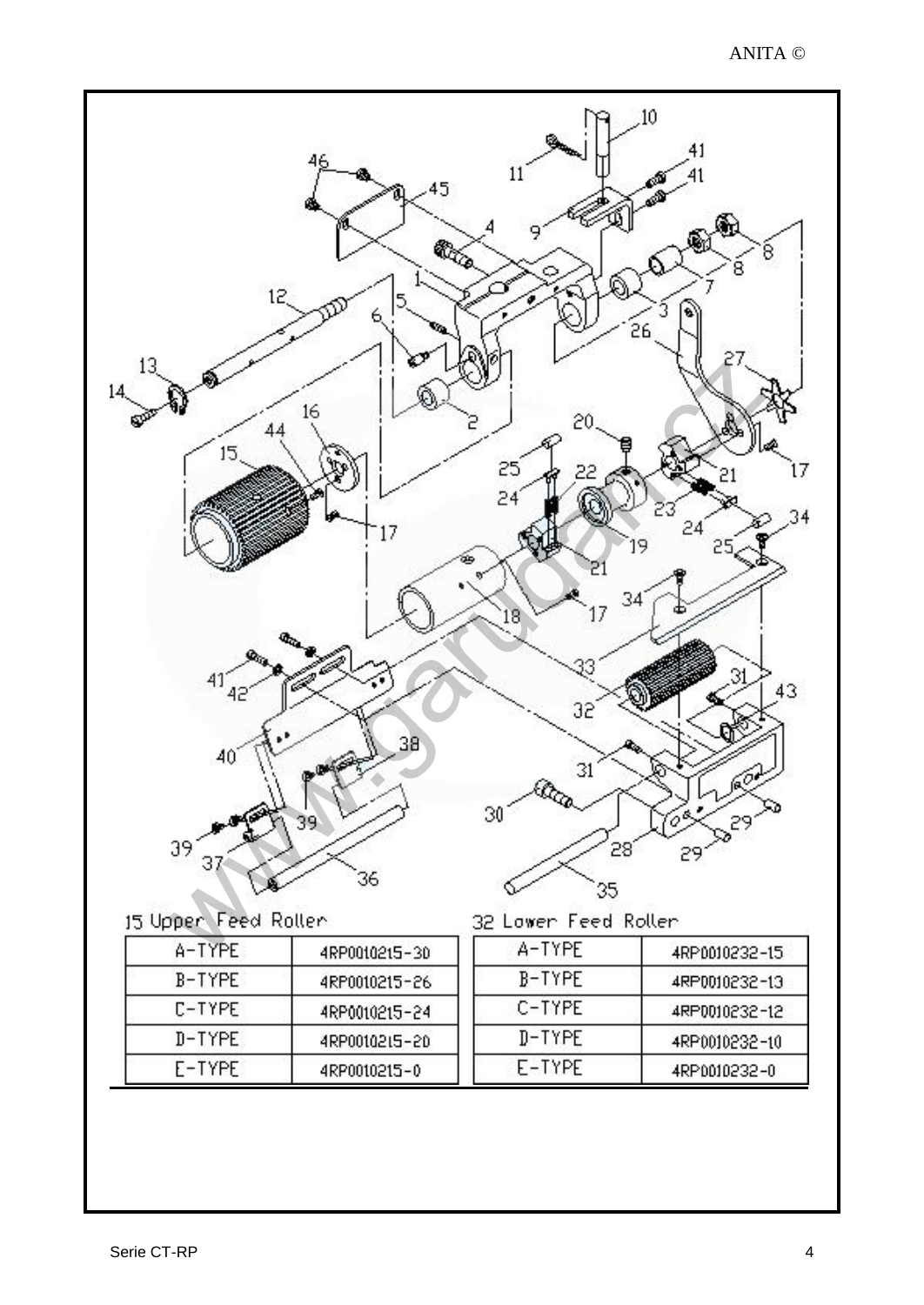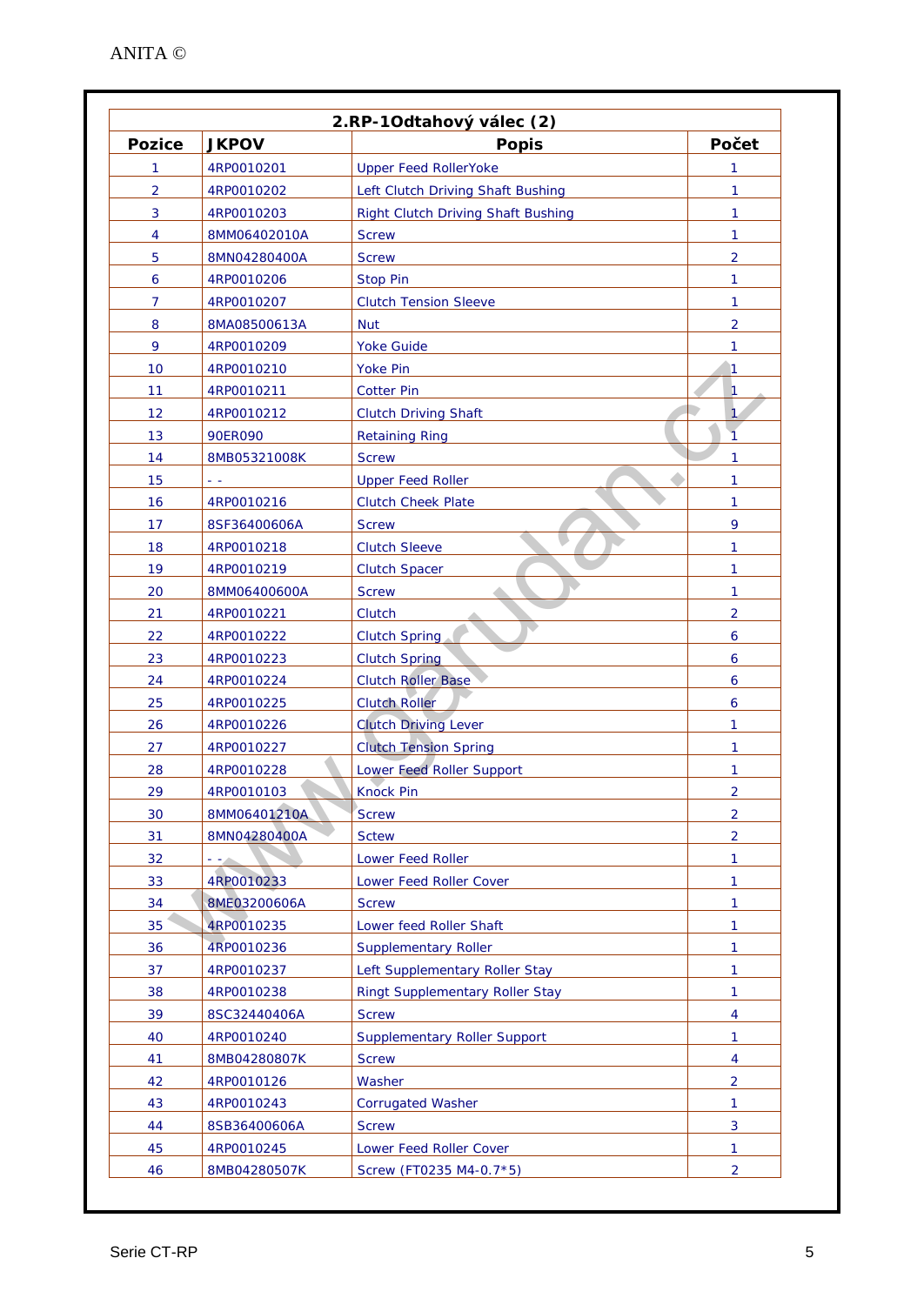| 2.RP-1Odtahový válec (2) |                     |                                           |                         |  |  |  |
|--------------------------|---------------------|-------------------------------------------|-------------------------|--|--|--|
| <b>Pozice</b>            | <b>JKPOV</b>        | <b>Popis</b>                              | Počet                   |  |  |  |
| 1                        | 4RP0010201          | <b>Upper Feed RollerYoke</b>              | 1                       |  |  |  |
| $\overline{2}$           | 4RP0010202          | Left Clutch Driving Shaft Bushing         | 1                       |  |  |  |
| 3                        | 4RP0010203          | <b>Right Clutch Driving Shaft Bushing</b> | 1                       |  |  |  |
| 4                        | 8MM06402010A        | <b>Screw</b>                              | 1                       |  |  |  |
| 5                        | 8MN04280400A        | <b>Screw</b>                              | $\overline{\mathbf{2}}$ |  |  |  |
| 6                        | 4RP0010206          | <b>Stop Pin</b>                           | 1                       |  |  |  |
| $\overline{7}$           | 4RP0010207          | <b>Clutch Tension Sleeve</b>              | 1                       |  |  |  |
| 8                        | 8MA08500613A        | <b>Nut</b>                                | $\overline{2}$          |  |  |  |
| 9                        | 4RP0010209          | <b>Yoke Guide</b>                         | 1                       |  |  |  |
| 10                       | 4RP0010210          | <b>Yoke Pin</b>                           | 1                       |  |  |  |
| 11                       | 4RP0010211          | <b>Cotter Pin</b>                         | 1                       |  |  |  |
| 12                       | 4RP0010212          | <b>Clutch Driving Shaft</b>               | 1                       |  |  |  |
| 13                       | 90ER090             | <b>Retaining Ring</b>                     | 1                       |  |  |  |
| 14                       | 8MB05321008K        | <b>Screw</b>                              | 1                       |  |  |  |
| 15                       | $\omega_{\rm{eff}}$ | <b>Upper Feed Roller</b>                  | 1                       |  |  |  |
| 16                       | 4RP0010216          | <b>Clutch Cheek Plate</b>                 | 1                       |  |  |  |
| 17                       | 8SF36400606A        | <b>Screw</b>                              | 9                       |  |  |  |
| 18                       | 4RP0010218          | <b>Clutch Sleeve</b>                      | 1                       |  |  |  |
| 19                       | 4RP0010219          | <b>Clutch Spacer</b>                      | 1                       |  |  |  |
| 20                       | 8MM06400600A        | <b>Screw</b>                              | 1                       |  |  |  |
| 21                       | 4RP0010221          | Clutch                                    | $\overline{2}$          |  |  |  |
| 22                       | 4RP0010222          | <b>Clutch Spring</b>                      | 6                       |  |  |  |
| 23                       | 4RP0010223          | <b>Clutch Spring</b>                      | 6                       |  |  |  |
| 24                       | 4RP0010224          | <b>Clutch Roller Base</b>                 | 6                       |  |  |  |
| 25                       | 4RP0010225          | <b>Clutch Roller</b>                      | 6                       |  |  |  |
| 26                       | 4RP0010226          | <b>Clutch Driving Lever</b>               | 1                       |  |  |  |
| 27                       | 4RP0010227          | <b>Clutch Tension Spring</b>              | 1                       |  |  |  |
| 28                       | 4RP0010228          | <b>Lower Feed Roller Support</b>          | 1                       |  |  |  |
| 29                       | 4RP0010103          | <b>Knock Pin</b>                          | 2                       |  |  |  |
| 30                       | 8MM06401210A        | <b>Screw</b>                              | $\overline{2}$          |  |  |  |
| 31                       | 8MN04280400A        | <b>Sctew</b>                              | $\overline{2}$          |  |  |  |
| 32                       | $\sim 100$          | <b>Lower Feed Roller</b>                  | 1                       |  |  |  |
| 33                       | 4RP0010233          | <b>Lower Feed Roller Cover</b>            | 1                       |  |  |  |
| 34                       | 8ME03200606A        | <b>Screw</b>                              | 1                       |  |  |  |
| 35                       | 4RP0010235          | Lower feed Roller Shaft                   | 1                       |  |  |  |
| 36                       | 4RP0010236          | <b>Supplementary Roller</b>               | 1                       |  |  |  |
| 37                       | 4RP0010237          | Left Supplementary Roller Stay            | 1                       |  |  |  |
| 38                       | 4RP0010238          | <b>Ringt Supplementary Roller Stay</b>    | 1                       |  |  |  |
| 39                       | 8SC32440406A        | <b>Screw</b>                              | 4                       |  |  |  |
| 40                       | 4RP0010240          | <b>Supplementary Roller Support</b>       | 1                       |  |  |  |
| 41                       | 8MB04280807K        | <b>Screw</b>                              | 4                       |  |  |  |
| 42                       | 4RP0010126          | Washer                                    | $\overline{2}$          |  |  |  |
| 43                       | 4RP0010243          | <b>Corrugated Washer</b>                  | 1                       |  |  |  |
| 44                       | 8SB36400606A        | <b>Screw</b>                              | 3                       |  |  |  |
| 45                       | 4RP0010245          | <b>Lower Feed Roller Cover</b>            | 1                       |  |  |  |
| 46                       | 8MB04280507K        | Screw (FT0235 M4-0.7*5)                   | $\overline{2}$          |  |  |  |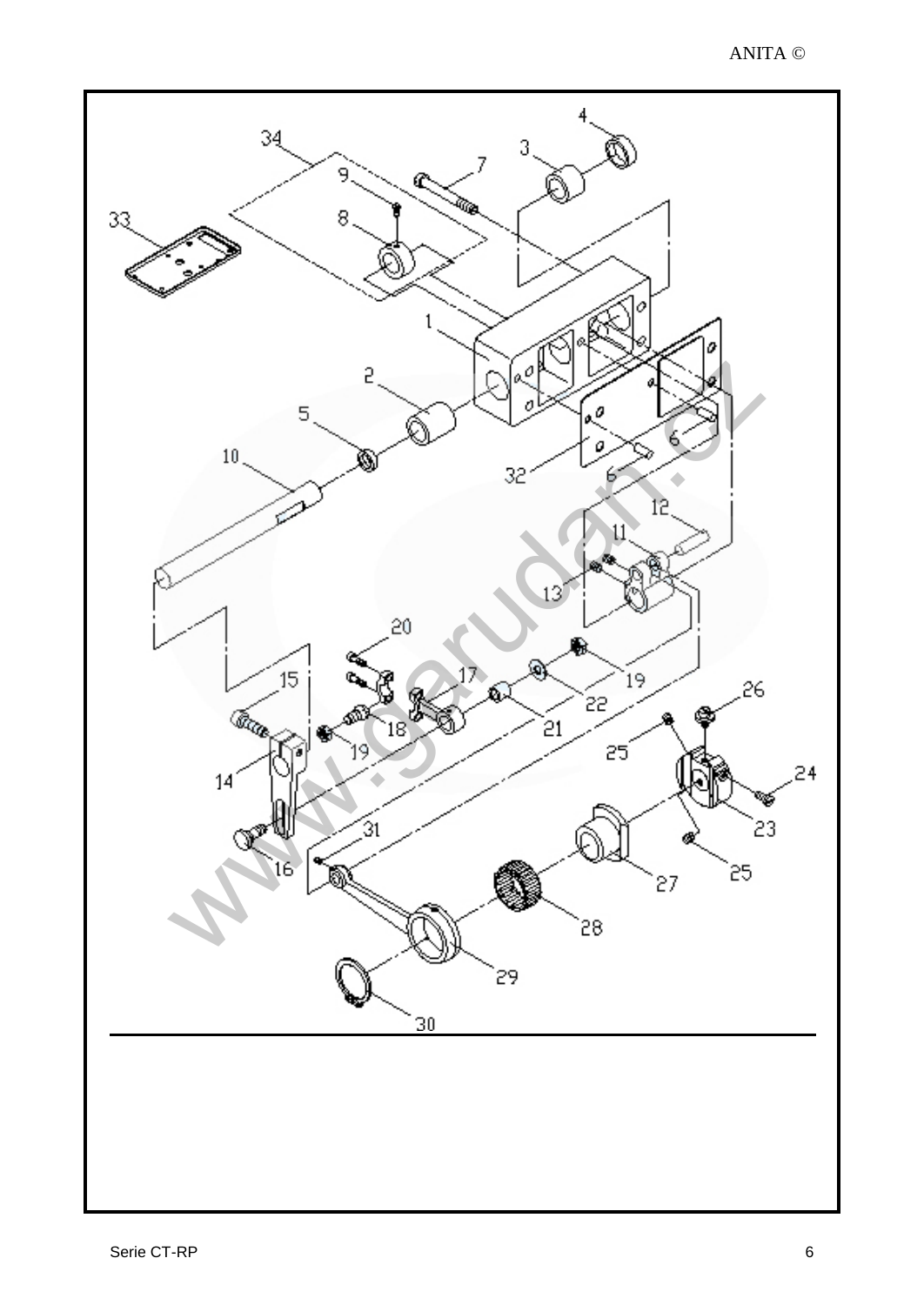